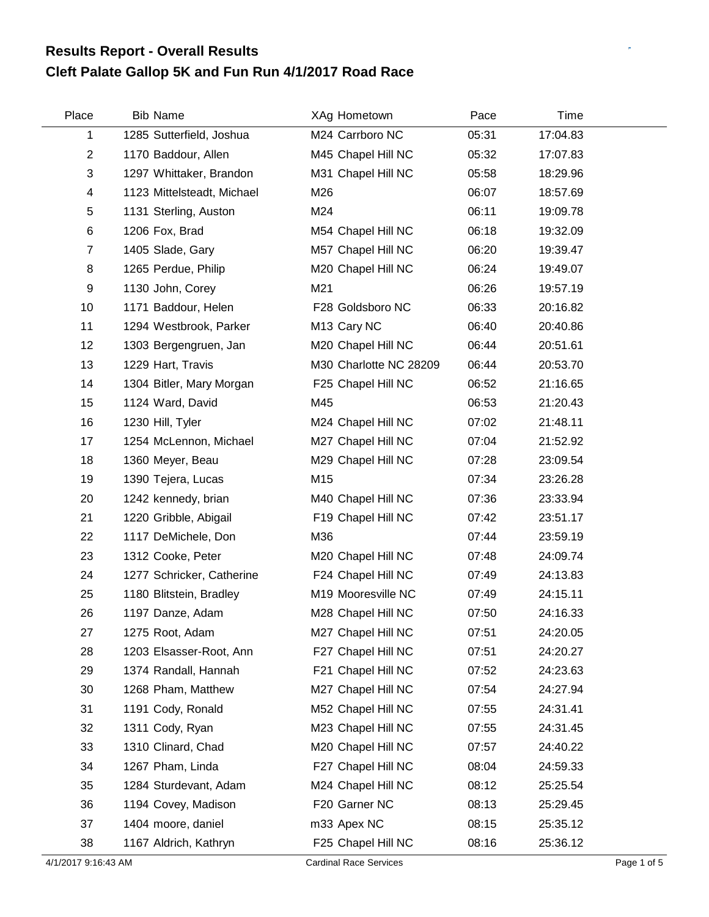## **Cleft Palate Gallop 5K and Fun Run 4/1/2017 Road Race Results Report - Overall Results**

| Place          | <b>Bib Name</b>            | XAg Hometown            | Pace  | Time     |
|----------------|----------------------------|-------------------------|-------|----------|
| 1              | 1285 Sutterfield, Joshua   | M24 Carrboro NC         | 05:31 | 17:04.83 |
| $\overline{2}$ | 1170 Baddour, Allen        | M45 Chapel Hill NC      | 05:32 | 17:07.83 |
| 3              | 1297 Whittaker, Brandon    | M31 Chapel Hill NC      | 05:58 | 18:29.96 |
| 4              | 1123 Mittelsteadt, Michael | M26                     | 06:07 | 18:57.69 |
| 5              | 1131 Sterling, Auston      | M24                     | 06:11 | 19:09.78 |
| 6              | 1206 Fox, Brad             | M54 Chapel Hill NC      | 06:18 | 19:32.09 |
| $\overline{7}$ | 1405 Slade, Gary           | M57 Chapel Hill NC      | 06:20 | 19:39.47 |
| 8              | 1265 Perdue, Philip        | M20 Chapel Hill NC      | 06:24 | 19:49.07 |
| 9              | 1130 John, Corey           | M21                     | 06:26 | 19:57.19 |
| 10             | 1171 Baddour, Helen        | F28 Goldsboro NC        | 06:33 | 20:16.82 |
| 11             | 1294 Westbrook, Parker     | M <sub>13</sub> Cary NC | 06:40 | 20:40.86 |
| 12             | 1303 Bergengruen, Jan      | M20 Chapel Hill NC      | 06:44 | 20:51.61 |
| 13             | 1229 Hart, Travis          | M30 Charlotte NC 28209  | 06:44 | 20:53.70 |
| 14             | 1304 Bitler, Mary Morgan   | F25 Chapel Hill NC      | 06:52 | 21:16.65 |
| 15             | 1124 Ward, David           | M45                     | 06:53 | 21:20.43 |
| 16             | 1230 Hill, Tyler           | M24 Chapel Hill NC      | 07:02 | 21:48.11 |
| 17             | 1254 McLennon, Michael     | M27 Chapel Hill NC      | 07:04 | 21:52.92 |
| 18             | 1360 Meyer, Beau           | M29 Chapel Hill NC      | 07:28 | 23:09.54 |
| 19             | 1390 Tejera, Lucas         | M15                     | 07:34 | 23:26.28 |
| 20             | 1242 kennedy, brian        | M40 Chapel Hill NC      | 07:36 | 23:33.94 |
| 21             | 1220 Gribble, Abigail      | F19 Chapel Hill NC      | 07:42 | 23:51.17 |
| 22             | 1117 DeMichele, Don        | M36                     | 07:44 | 23:59.19 |
| 23             | 1312 Cooke, Peter          | M20 Chapel Hill NC      | 07:48 | 24:09.74 |
| 24             | 1277 Schricker, Catherine  | F24 Chapel Hill NC      | 07:49 | 24:13.83 |
| 25             | 1180 Blitstein, Bradley    | M19 Mooresville NC      | 07:49 | 24:15.11 |
| 26             | 1197 Danze, Adam           | M28 Chapel Hill NC      | 07:50 | 24:16.33 |
| 27             | 1275 Root, Adam            | M27 Chapel Hill NC      | 07:51 | 24:20.05 |
| 28             | 1203 Elsasser-Root, Ann    | F27 Chapel Hill NC      | 07:51 | 24:20.27 |
| 29             | 1374 Randall, Hannah       | F21 Chapel Hill NC      | 07:52 | 24:23.63 |
| 30             | 1268 Pham, Matthew         | M27 Chapel Hill NC      | 07:54 | 24:27.94 |
| 31             | 1191 Cody, Ronald          | M52 Chapel Hill NC      | 07:55 | 24:31.41 |
| 32             | 1311 Cody, Ryan            | M23 Chapel Hill NC      | 07:55 | 24:31.45 |
| 33             | 1310 Clinard, Chad         | M20 Chapel Hill NC      | 07:57 | 24:40.22 |
| 34             | 1267 Pham, Linda           | F27 Chapel Hill NC      | 08:04 | 24:59.33 |
| 35             | 1284 Sturdevant, Adam      | M24 Chapel Hill NC      | 08:12 | 25:25.54 |
| 36             | 1194 Covey, Madison        | F20 Garner NC           | 08:13 | 25:29.45 |
| 37             | 1404 moore, daniel         | m33 Apex NC             | 08:15 | 25:35.12 |
| 38             | 1167 Aldrich, Kathryn      | F25 Chapel Hill NC      | 08:16 | 25:36.12 |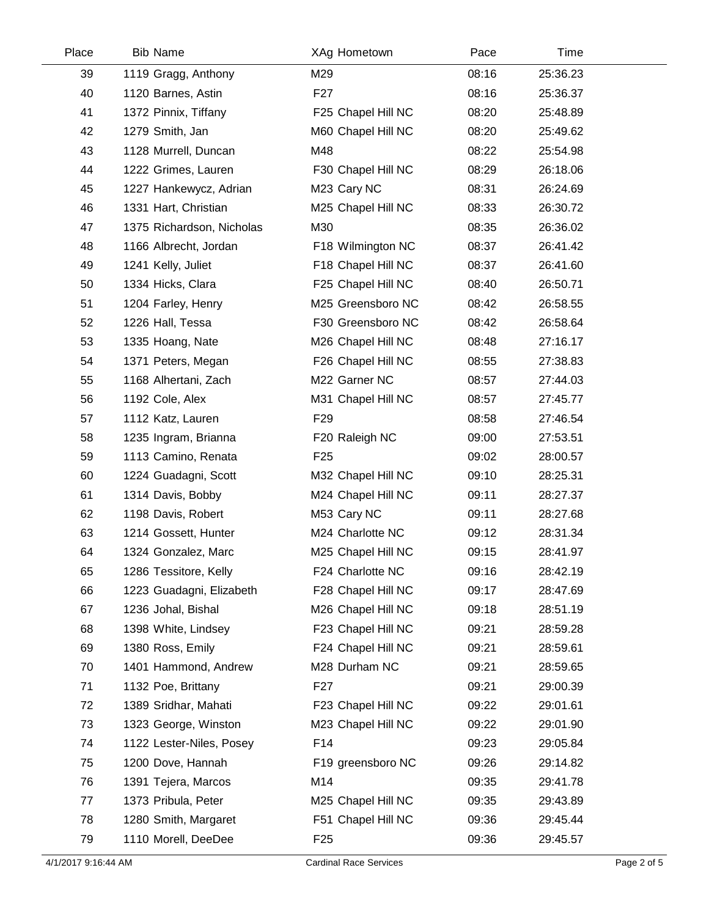| Place | <b>Bib Name</b>           | XAg Hometown       | Pace  | Time     |  |
|-------|---------------------------|--------------------|-------|----------|--|
| 39    | 1119 Gragg, Anthony       | M29                | 08:16 | 25:36.23 |  |
| 40    | 1120 Barnes, Astin        | F <sub>27</sub>    | 08:16 | 25:36.37 |  |
| 41    | 1372 Pinnix, Tiffany      | F25 Chapel Hill NC | 08:20 | 25:48.89 |  |
| 42    | 1279 Smith, Jan           | M60 Chapel Hill NC | 08:20 | 25:49.62 |  |
| 43    | 1128 Murrell, Duncan      | M48                | 08:22 | 25:54.98 |  |
| 44    | 1222 Grimes, Lauren       | F30 Chapel Hill NC | 08:29 | 26:18.06 |  |
| 45    | 1227 Hankewycz, Adrian    | M23 Cary NC        | 08:31 | 26:24.69 |  |
| 46    | 1331 Hart, Christian      | M25 Chapel Hill NC | 08:33 | 26:30.72 |  |
| 47    | 1375 Richardson, Nicholas | M30                | 08:35 | 26:36.02 |  |
| 48    | 1166 Albrecht, Jordan     | F18 Wilmington NC  | 08:37 | 26:41.42 |  |
| 49    | 1241 Kelly, Juliet        | F18 Chapel Hill NC | 08:37 | 26:41.60 |  |
| 50    | 1334 Hicks, Clara         | F25 Chapel Hill NC | 08:40 | 26:50.71 |  |
| 51    | 1204 Farley, Henry        | M25 Greensboro NC  | 08:42 | 26:58.55 |  |
| 52    | 1226 Hall, Tessa          | F30 Greensboro NC  | 08:42 | 26:58.64 |  |
| 53    | 1335 Hoang, Nate          | M26 Chapel Hill NC | 08:48 | 27:16.17 |  |
| 54    | 1371 Peters, Megan        | F26 Chapel Hill NC | 08:55 | 27:38.83 |  |
| 55    | 1168 Alhertani, Zach      | M22 Garner NC      | 08:57 | 27:44.03 |  |
| 56    | 1192 Cole, Alex           | M31 Chapel Hill NC | 08:57 | 27:45.77 |  |
| 57    | 1112 Katz, Lauren         | F <sub>29</sub>    | 08:58 | 27:46.54 |  |
| 58    | 1235 Ingram, Brianna      | F20 Raleigh NC     | 09:00 | 27:53.51 |  |
| 59    | 1113 Camino, Renata       | F <sub>25</sub>    | 09:02 | 28:00.57 |  |
| 60    | 1224 Guadagni, Scott      | M32 Chapel Hill NC | 09:10 | 28:25.31 |  |
| 61    | 1314 Davis, Bobby         | M24 Chapel Hill NC | 09:11 | 28:27.37 |  |
| 62    | 1198 Davis, Robert        | M53 Cary NC        | 09:11 | 28:27.68 |  |
| 63    | 1214 Gossett, Hunter      | M24 Charlotte NC   | 09:12 | 28:31.34 |  |
| 64    | 1324 Gonzalez, Marc       | M25 Chapel Hill NC | 09:15 | 28:41.97 |  |
| 65    | 1286 Tessitore, Kelly     | F24 Charlotte NC   | 09:16 | 28:42.19 |  |
| 66    | 1223 Guadagni, Elizabeth  | F28 Chapel Hill NC | 09:17 | 28:47.69 |  |
| 67    | 1236 Johal, Bishal        | M26 Chapel Hill NC | 09:18 | 28:51.19 |  |
| 68    | 1398 White, Lindsey       | F23 Chapel Hill NC | 09:21 | 28:59.28 |  |
| 69    | 1380 Ross, Emily          | F24 Chapel Hill NC | 09:21 | 28:59.61 |  |
| 70    | 1401 Hammond, Andrew      | M28 Durham NC      | 09:21 | 28:59.65 |  |
| 71    | 1132 Poe, Brittany        | F <sub>27</sub>    | 09:21 | 29:00.39 |  |
| 72    | 1389 Sridhar, Mahati      | F23 Chapel Hill NC | 09:22 | 29:01.61 |  |
| 73    | 1323 George, Winston      | M23 Chapel Hill NC | 09:22 | 29:01.90 |  |
| 74    | 1122 Lester-Niles, Posey  | F14                | 09:23 | 29:05.84 |  |
| 75    | 1200 Dove, Hannah         | F19 greensboro NC  | 09:26 | 29:14.82 |  |
| 76    | 1391 Tejera, Marcos       | M14                | 09:35 | 29:41.78 |  |
| 77    | 1373 Pribula, Peter       | M25 Chapel Hill NC | 09:35 | 29:43.89 |  |
| 78    | 1280 Smith, Margaret      | F51 Chapel Hill NC | 09:36 | 29:45.44 |  |
| 79    | 1110 Morell, DeeDee       | F <sub>25</sub>    | 09:36 | 29:45.57 |  |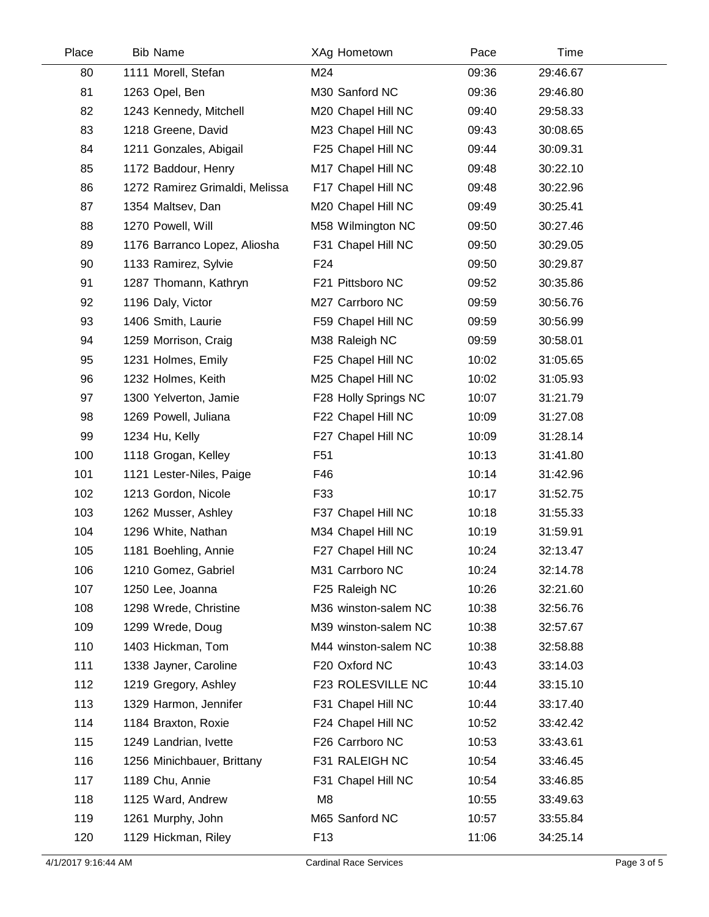| Place | <b>Bib Name</b>                | XAg Hometown         | Pace  | Time     |  |
|-------|--------------------------------|----------------------|-------|----------|--|
| 80    | 1111 Morell, Stefan            | M24                  | 09:36 | 29:46.67 |  |
| 81    | 1263 Opel, Ben                 | M30 Sanford NC       | 09:36 | 29:46.80 |  |
| 82    | 1243 Kennedy, Mitchell         | M20 Chapel Hill NC   | 09:40 | 29:58.33 |  |
| 83    | 1218 Greene, David             | M23 Chapel Hill NC   | 09:43 | 30:08.65 |  |
| 84    | 1211 Gonzales, Abigail         | F25 Chapel Hill NC   | 09:44 | 30:09.31 |  |
| 85    | 1172 Baddour, Henry            | M17 Chapel Hill NC   | 09:48 | 30:22.10 |  |
| 86    | 1272 Ramirez Grimaldi, Melissa | F17 Chapel Hill NC   | 09:48 | 30:22.96 |  |
| 87    | 1354 Maltsev, Dan              | M20 Chapel Hill NC   | 09:49 | 30:25.41 |  |
| 88    | 1270 Powell, Will              | M58 Wilmington NC    | 09:50 | 30:27.46 |  |
| 89    | 1176 Barranco Lopez, Aliosha   | F31 Chapel Hill NC   | 09:50 | 30:29.05 |  |
| 90    | 1133 Ramirez, Sylvie           | F24                  | 09:50 | 30:29.87 |  |
| 91    | 1287 Thomann, Kathryn          | F21 Pittsboro NC     | 09:52 | 30:35.86 |  |
| 92    | 1196 Daly, Victor              | M27 Carrboro NC      | 09:59 | 30:56.76 |  |
| 93    | 1406 Smith, Laurie             | F59 Chapel Hill NC   | 09:59 | 30:56.99 |  |
| 94    | 1259 Morrison, Craig           | M38 Raleigh NC       | 09:59 | 30:58.01 |  |
| 95    | 1231 Holmes, Emily             | F25 Chapel Hill NC   | 10:02 | 31:05.65 |  |
| 96    | 1232 Holmes, Keith             | M25 Chapel Hill NC   | 10:02 | 31:05.93 |  |
| 97    | 1300 Yelverton, Jamie          | F28 Holly Springs NC | 10:07 | 31:21.79 |  |
| 98    | 1269 Powell, Juliana           | F22 Chapel Hill NC   | 10:09 | 31:27.08 |  |
| 99    | 1234 Hu, Kelly                 | F27 Chapel Hill NC   | 10:09 | 31:28.14 |  |
| 100   | 1118 Grogan, Kelley            | F <sub>51</sub>      | 10:13 | 31:41.80 |  |
| 101   | 1121 Lester-Niles, Paige       | F46                  | 10:14 | 31:42.96 |  |
| 102   | 1213 Gordon, Nicole            | F33                  | 10:17 | 31:52.75 |  |
| 103   | 1262 Musser, Ashley            | F37 Chapel Hill NC   | 10:18 | 31:55.33 |  |
| 104   | 1296 White, Nathan             | M34 Chapel Hill NC   | 10:19 | 31:59.91 |  |
| 105   | 1181 Boehling, Annie           | F27 Chapel Hill NC   | 10:24 | 32:13.47 |  |
| 106   | 1210 Gomez, Gabriel            | M31 Carrboro NC      | 10:24 | 32:14.78 |  |
| 107   | 1250 Lee, Joanna               | F25 Raleigh NC       | 10:26 | 32:21.60 |  |
| 108   | 1298 Wrede, Christine          | M36 winston-salem NC | 10:38 | 32:56.76 |  |
| 109   | 1299 Wrede, Doug               | M39 winston-salem NC | 10:38 | 32:57.67 |  |
| 110   | 1403 Hickman, Tom              | M44 winston-salem NC | 10:38 | 32:58.88 |  |
| 111   | 1338 Jayner, Caroline          | F20 Oxford NC        | 10:43 | 33:14.03 |  |
| 112   | 1219 Gregory, Ashley           | F23 ROLESVILLE NC    | 10:44 | 33:15.10 |  |
| 113   | 1329 Harmon, Jennifer          | F31 Chapel Hill NC   | 10:44 | 33:17.40 |  |
| 114   | 1184 Braxton, Roxie            | F24 Chapel Hill NC   | 10:52 | 33:42.42 |  |
| 115   | 1249 Landrian, Ivette          | F26 Carrboro NC      | 10:53 | 33:43.61 |  |
| 116   | 1256 Minichbauer, Brittany     | F31 RALEIGH NC       | 10:54 | 33:46.45 |  |
| 117   | 1189 Chu, Annie                | F31 Chapel Hill NC   | 10:54 | 33:46.85 |  |
| 118   | 1125 Ward, Andrew              | M <sub>8</sub>       | 10:55 | 33:49.63 |  |
| 119   | 1261 Murphy, John              | M65 Sanford NC       | 10:57 | 33:55.84 |  |
| 120   | 1129 Hickman, Riley            | F <sub>13</sub>      | 11:06 | 34:25.14 |  |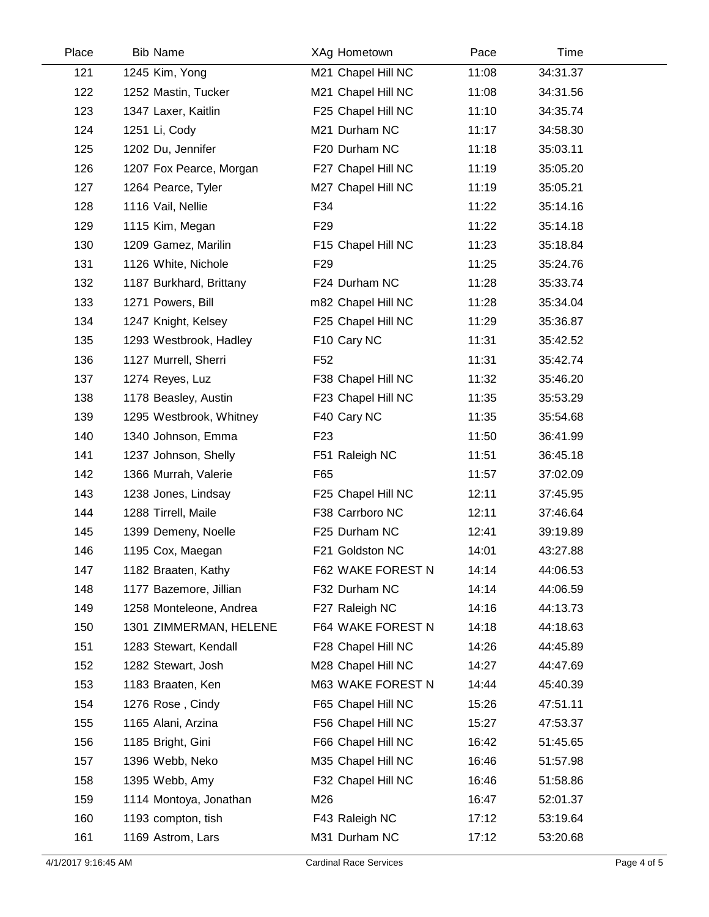| Place | <b>Bib Name</b>         | XAg Hometown       | Pace  | Time     |  |
|-------|-------------------------|--------------------|-------|----------|--|
| 121   | 1245 Kim, Yong          | M21 Chapel Hill NC | 11:08 | 34:31.37 |  |
| 122   | 1252 Mastin, Tucker     | M21 Chapel Hill NC | 11:08 | 34:31.56 |  |
| 123   | 1347 Laxer, Kaitlin     | F25 Chapel Hill NC | 11:10 | 34:35.74 |  |
| 124   | 1251 Li, Cody           | M21 Durham NC      | 11:17 | 34:58.30 |  |
| 125   | 1202 Du, Jennifer       | F20 Durham NC      | 11:18 | 35:03.11 |  |
| 126   | 1207 Fox Pearce, Morgan | F27 Chapel Hill NC | 11:19 | 35:05.20 |  |
| 127   | 1264 Pearce, Tyler      | M27 Chapel Hill NC | 11:19 | 35:05.21 |  |
| 128   | 1116 Vail, Nellie       | F34                | 11:22 | 35:14.16 |  |
| 129   | 1115 Kim, Megan         | F <sub>29</sub>    | 11:22 | 35:14.18 |  |
| 130   | 1209 Gamez, Marilin     | F15 Chapel Hill NC | 11:23 | 35:18.84 |  |
| 131   | 1126 White, Nichole     | F <sub>29</sub>    | 11:25 | 35:24.76 |  |
| 132   | 1187 Burkhard, Brittany | F24 Durham NC      | 11:28 | 35:33.74 |  |
| 133   | 1271 Powers, Bill       | m82 Chapel Hill NC | 11:28 | 35:34.04 |  |
| 134   | 1247 Knight, Kelsey     | F25 Chapel Hill NC | 11:29 | 35:36.87 |  |
| 135   | 1293 Westbrook, Hadley  | F10 Cary NC        | 11:31 | 35:42.52 |  |
| 136   | 1127 Murrell, Sherri    | F <sub>52</sub>    | 11:31 | 35:42.74 |  |
| 137   | 1274 Reyes, Luz         | F38 Chapel Hill NC | 11:32 | 35:46.20 |  |
| 138   | 1178 Beasley, Austin    | F23 Chapel Hill NC | 11:35 | 35:53.29 |  |
| 139   | 1295 Westbrook, Whitney | F40 Cary NC        | 11:35 | 35:54.68 |  |
| 140   | 1340 Johnson, Emma      | F <sub>23</sub>    | 11:50 | 36:41.99 |  |
| 141   | 1237 Johnson, Shelly    | F51 Raleigh NC     | 11:51 | 36:45.18 |  |
| 142   | 1366 Murrah, Valerie    | F65                | 11:57 | 37:02.09 |  |
| 143   | 1238 Jones, Lindsay     | F25 Chapel Hill NC | 12:11 | 37:45.95 |  |
| 144   | 1288 Tirrell, Maile     | F38 Carrboro NC    | 12:11 | 37:46.64 |  |
| 145   | 1399 Demeny, Noelle     | F25 Durham NC      | 12:41 | 39:19.89 |  |
| 146   | 1195 Cox, Maegan        | F21 Goldston NC    | 14:01 | 43:27.88 |  |
| 147   | 1182 Braaten, Kathy     | F62 WAKE FOREST N  | 14:14 | 44:06.53 |  |
| 148   | 1177 Bazemore, Jillian  | F32 Durham NC      | 14:14 | 44:06.59 |  |
| 149   | 1258 Monteleone, Andrea | F27 Raleigh NC     | 14:16 | 44:13.73 |  |
| 150   | 1301 ZIMMERMAN, HELENE  | F64 WAKE FOREST N  | 14:18 | 44:18.63 |  |
| 151   | 1283 Stewart, Kendall   | F28 Chapel Hill NC | 14:26 | 44:45.89 |  |
| 152   | 1282 Stewart, Josh      | M28 Chapel Hill NC | 14:27 | 44:47.69 |  |
| 153   | 1183 Braaten, Ken       | M63 WAKE FOREST N  | 14:44 | 45:40.39 |  |
| 154   | 1276 Rose, Cindy        | F65 Chapel Hill NC | 15:26 | 47:51.11 |  |
| 155   | 1165 Alani, Arzina      | F56 Chapel Hill NC | 15:27 | 47:53.37 |  |
| 156   | 1185 Bright, Gini       | F66 Chapel Hill NC | 16:42 | 51:45.65 |  |
| 157   | 1396 Webb, Neko         | M35 Chapel Hill NC | 16:46 | 51:57.98 |  |
| 158   | 1395 Webb, Amy          | F32 Chapel Hill NC | 16:46 | 51:58.86 |  |
| 159   | 1114 Montoya, Jonathan  | M26                | 16:47 | 52:01.37 |  |
| 160   | 1193 compton, tish      | F43 Raleigh NC     | 17:12 | 53:19.64 |  |
| 161   | 1169 Astrom, Lars       | M31 Durham NC      | 17:12 | 53:20.68 |  |